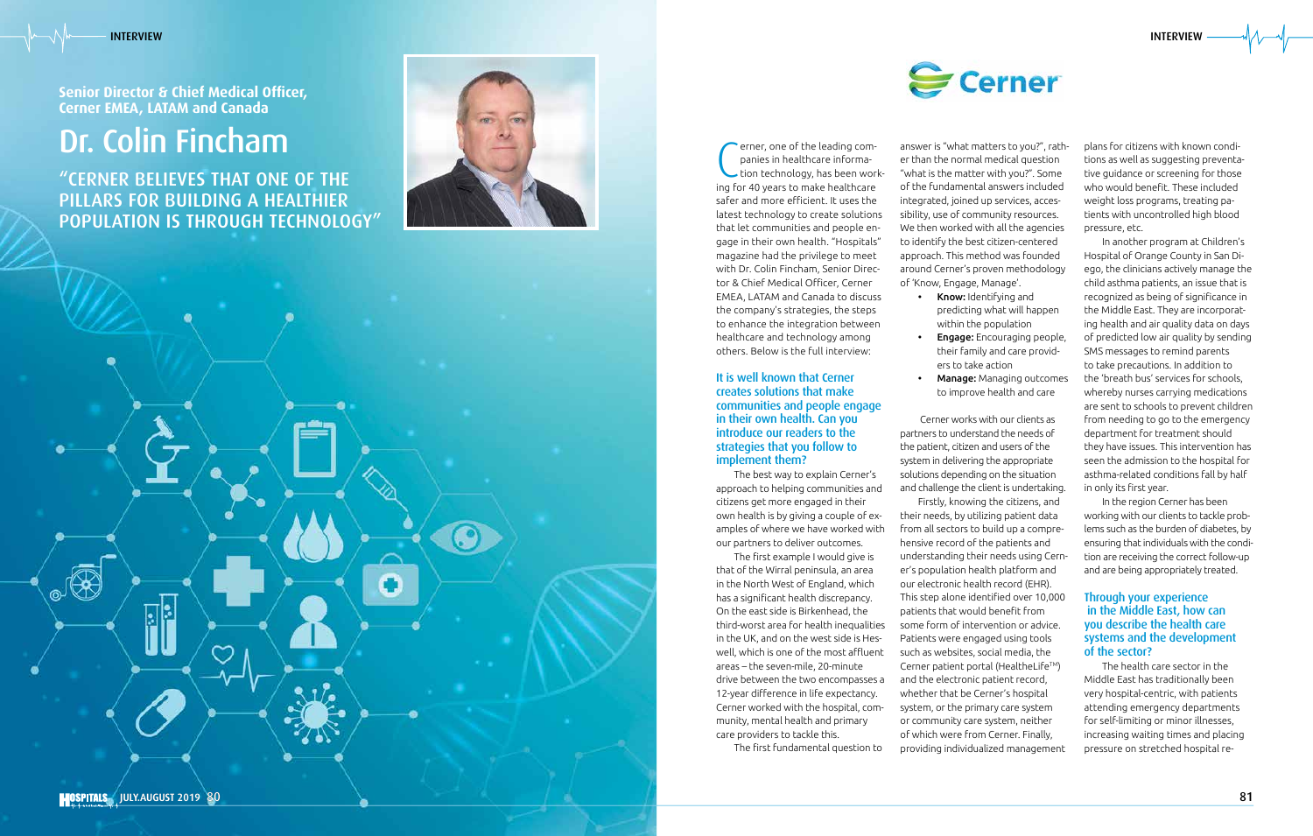$\circledR$ 

**Senior Director & Chief Medical Officer, Cerner EMEA, LATAM and Canada**

# Dr. Colin Fincham

"CERNER BELIEVES THAT ONE OF THE PILLARS FOR BUILDING A HEALTHIER POPULATION IS THROUGH TECHNOLOGY"



C



**C** erner, one of the leading companies in healthcare informa-<br>tion technology, has been wor<br>ing for 40 years to make healthcare erner, one of the leading com panies in healthcare informa tion technology, has been work safer and more efficient. It uses the latest technology to create solutions that let communities and people en gage in their own health. "Hospitals" magazine had the privilege to meet with Dr. Colin Fincham, Senior Direc tor & Chief Medical Officer, Cerner EMEA, LATAM and Canada to discuss the company's strategies, the steps to enhance the integration between

healthcare and technology among others. Below is the full interview:

#### It is well known that Cerner creates solutions that make communities and people engage in their own health. Can you introduce our readers to the strategies that you follow to implement them?

The best way to explain Cerner's approach to helping communities and citizens get more engaged in their own health is by giving a couple of ex amples of where we have worked with our partners to deliver outcomes.

**Manage:** Managing outcomes to improve health and care

The first example I would give is that of the Wirral peninsula, an area in the North West of England, which has a significant health discrepancy. On the east side is Birkenhead, the third-worst area for health inequalities in the UK, and on the west side is Hes well, which is one of the most affluent areas – the seven-mile, 20-minute drive between the two encompasses a 12-year difference in life expectancy. Cerner worked with the hospital, com munity, mental health and primary care providers to tackle this.

The first fundamental question to

answer is "what matters to you?", rath er than the normal medical question "what is the matter with you?". Some of the fundamental answers included integrated, joined up services, acces sibility, use of community resources. We then worked with all the agencies to identify the best citizen-centered approach. This method was founded around Cerner's proven methodology of 'Know, Engage, Manage'.

- 
- 
- 

• Know: Identifying and predicting what will happen within the population

• Engage: Encouraging people, their family and care provid ers to take action

 Cerner works with our clients as partners to understand the needs of the patient, citizen and users of the system in delivering the appropriate solutions depending on the situation and challenge the client is undertaking. Firstly, knowing the citizens, and their needs, by utilizing patient data from all sectors to build up a compre hensive record of the patients and understanding their needs using Cern er's population health platform and our electronic health record (EHR). This step alone identified over 10,000 patients that would benefit from some form of intervention or advice. Patients were engaged using tools such as websites, social media, the Cerner patient portal (HealtheLife™) and the electronic patient record, whether that be Cerner's hospital system, or the primary care system or community care system, neither of which were from Cerner. Finally, providing individualized management



plans for citizens with known condi tions as well as suggesting preventa tive guidance or screening for those who would benefit. These included weight loss programs, treating pa tients with uncontrolled high blood pressure, etc.

In another program at Children's Hospital of Orange County in San Di ego, the clinicians actively manage the child asthma patients, an issue that is recognized as being of significance in the Middle East. They are incorporat ing health and air quality data on days of predicted low air quality by sending SMS messages to remind parents to take precautions. In addition to the 'breath bus' services for schools, whereby nurses carrying medications are sent to schools to prevent children from needing to go to the emergency department for treatment should they have issues. This intervention has seen the admission to the hospital for asthma-related conditions fall by half in only its first year.

In the region Cerner has been working with our clients to tackle prob lems such as the burden of diabetes, by ensuring that individuals with the condi tion are receiving the correct follow-up and are being appropriately treated.

#### Through your experience in the Middle East, how can you describe the health care systems and the development of the sector?

The health care sector in the Middle East has traditionally been very hospital-centric, with patients attending emergency departments for self-limiting or minor illnesses, increasing waiting times and placing pressure on stretched hospital re -